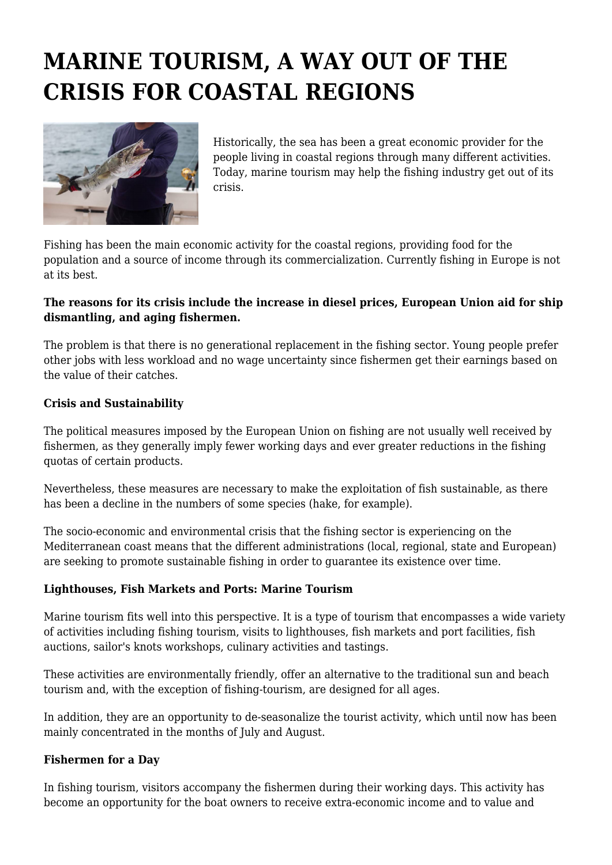# **MARINE TOURISM, A WAY OUT OF THE CRISIS FOR COASTAL REGIONS**



Historically, the sea has been a great economic provider for the people living in coastal regions through many different activities. Today, marine tourism may help the fishing industry get out of its crisis.

Fishing has been the main economic activity for the coastal regions, providing food for the population and a source of income through its commercialization. Currently fishing in Europe is not at its best.

# **The reasons for its crisis include the increase in diesel prices, European Union aid for ship dismantling, and aging fishermen.**

The problem is that there is no generational replacement in the fishing sector. Young people prefer other jobs with less workload and no wage uncertainty since fishermen get their earnings based on the value of their catches.

### **Crisis and Sustainability**

The political measures imposed by the European Union on fishing are not usually well received by fishermen, as they generally imply fewer working days and ever greater reductions in the fishing quotas of certain products.

Nevertheless, these measures are necessary to make the exploitation of fish sustainable, as there has been a decline in the numbers of some species (hake, for example).

The socio-economic and environmental crisis that the fishing sector is experiencing on the Mediterranean coast means that the different administrations (local, regional, state and European) are seeking to promote sustainable fishing in order to guarantee its existence over time.

# **Lighthouses, Fish Markets and Ports: Marine Tourism**

Marine tourism fits well into this perspective. It is a type of tourism that encompasses a wide variety of activities including fishing tourism, visits to lighthouses, fish markets and port facilities, fish auctions, sailor's knots workshops, culinary activities and tastings.

These activities are environmentally friendly, offer an alternative to the traditional sun and beach tourism and, with the exception of fishing-tourism, are designed for all ages.

In addition, they are an opportunity to de-seasonalize the tourist activity, which until now has been mainly concentrated in the months of July and August.

#### **Fishermen for a Day**

In fishing tourism, visitors accompany the fishermen during their working days. This activity has become an opportunity for the boat owners to receive extra-economic income and to value and